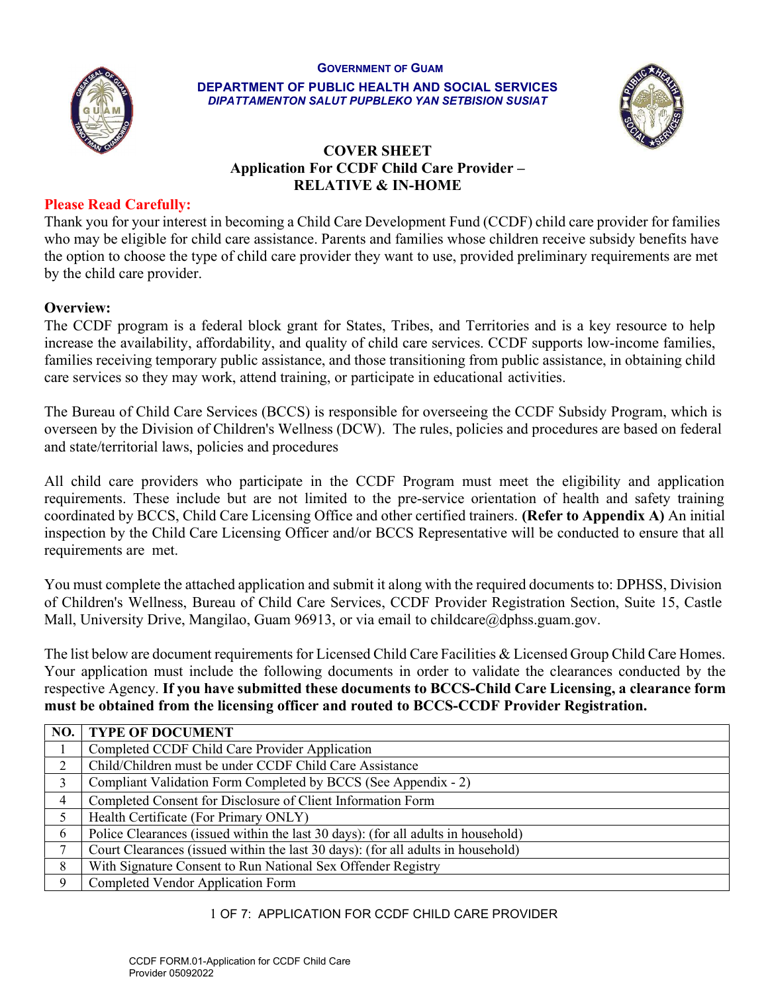#### GOVERNMENT OF GUAM



DEPARTMENT OF PUBLIC HEALTH AND SOCIAL SERVICES DIPATTAMENTON SALUT PUPBLEKO YAN SETBISION SUSIAT



### COVER SHEET Application For CCDF Child Care Provider – RELATIVE & IN-HOME

#### Please Read Carefully:

Thank you for your interest in becoming a Child Care Development Fund (CCDF) child care provider for families who may be eligible for child care assistance. Parents and families whose children receive subsidy benefits have the option to choose the type of child care provider they want to use, provided preliminary requirements are met by the child care provider.

### Overview:

The CCDF program is a federal block grant for States, Tribes, and Territories and is a key resource to help increase the availability, affordability, and quality of child care services. CCDF supports low-income families, families receiving temporary public assistance, and those transitioning from public assistance, in obtaining child care services so they may work, attend training, or participate in educational activities.

The Bureau of Child Care Services (BCCS) is responsible for overseeing the CCDF Subsidy Program, which is overseen by the Division of Children's Wellness (DCW). The rules, policies and procedures are based on federal and state/territorial laws, policies and procedures

All child care providers who participate in the CCDF Program must meet the eligibility and application requirements. These include but are not limited to the pre-service orientation of health and safety training coordinated by BCCS, Child Care Licensing Office and other certified trainers. (Refer to Appendix A) An initial inspection by the Child Care Licensing Officer and/or BCCS Representative will be conducted to ensure that all requirements are met.

You must complete the attached application and submit it along with the required documents to: DPHSS, Division of Children's Wellness, Bureau of Child Care Services, CCDF Provider Registration Section, Suite 15, Castle Mall, University Drive, Mangilao, Guam 96913, or via email to childcare@dphss.guam.gov.

The list below are document requirements for Licensed Child Care Facilities & Licensed Group Child Care Homes. Your application must include the following documents in order to validate the clearances conducted by the respective Agency. If you have submitted these documents to BCCS-Child Care Licensing, a clearance form must be obtained from the licensing officer and routed to BCCS-CCDF Provider Registration.

| NO. | <b>TYPE OF DOCUMENT</b>                                                           |
|-----|-----------------------------------------------------------------------------------|
|     | Completed CCDF Child Care Provider Application                                    |
| ↑   | Child/Children must be under CCDF Child Care Assistance                           |
| 3   | Compliant Validation Form Completed by BCCS (See Appendix - 2)                    |
| 4   | Completed Consent for Disclosure of Client Information Form                       |
|     | Health Certificate (For Primary ONLY)                                             |
| 6   | Police Clearances (issued within the last 30 days): (for all adults in household) |
|     | Court Clearances (issued within the last 30 days): (for all adults in household)  |
| 8   | With Signature Consent to Run National Sex Offender Registry                      |
| 9   | Completed Vendor Application Form                                                 |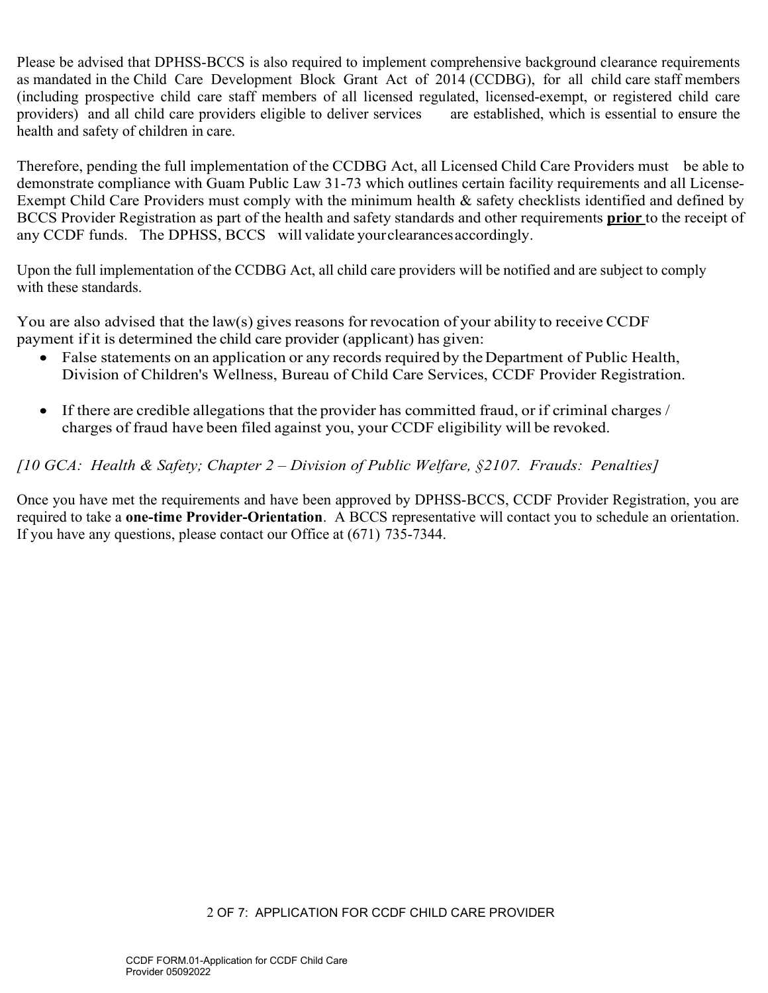Please be advised that DPHSS-BCCS is also required to implement comprehensive background clearance requirements as mandated in the Child Care Development Block Grant Act of 2014 (CCDBG), for all child care staff members (including prospective child care staff members of all licensed regulated, licensed-exempt, or registered child care providers) and all child care providers eligible to deliver services are established, which is essential to ensure the health and safety of children in care.

Therefore, pending the full implementation of the CCDBG Act, all Licensed Child Care Providers must be able to demonstrate compliance with Guam Public Law 31-73 which outlines certain facility requirements and all License-Exempt Child Care Providers must comply with the minimum health & safety checklists identified and defined by BCCS Provider Registration as part of the health and safety standards and other requirements **prior** to the receipt of any CCDF funds. The DPHSS, BCCS will validate your clearances accordingly.

Upon the full implementation of the CCDBG Act, all child care providers will be notified and are subject to comply with these standards.

You are also advised that the law(s) gives reasons for revocation of your ability to receive CCDF payment if it is determined the child care provider (applicant) has given:

- False statements on an application or any records required by the Department of Public Health, Division of Children's Wellness, Bureau of Child Care Services, CCDF Provider Registration.
- If there are credible allegations that the provider has committed fraud, or if criminal charges / charges of fraud have been filed against you, your CCDF eligibility will be revoked.

[10 GCA: Health & Safety; Chapter 2 – Division of Public Welfare,  $\S$ 2107. Frauds: Penalties]

Once you have met the requirements and have been approved by DPHSS-BCCS, CCDF Provider Registration, you are required to take a one-time Provider-Orientation. A BCCS representative will contact you to schedule an orientation. If you have any questions, please contact our Office at (671) 735-7344.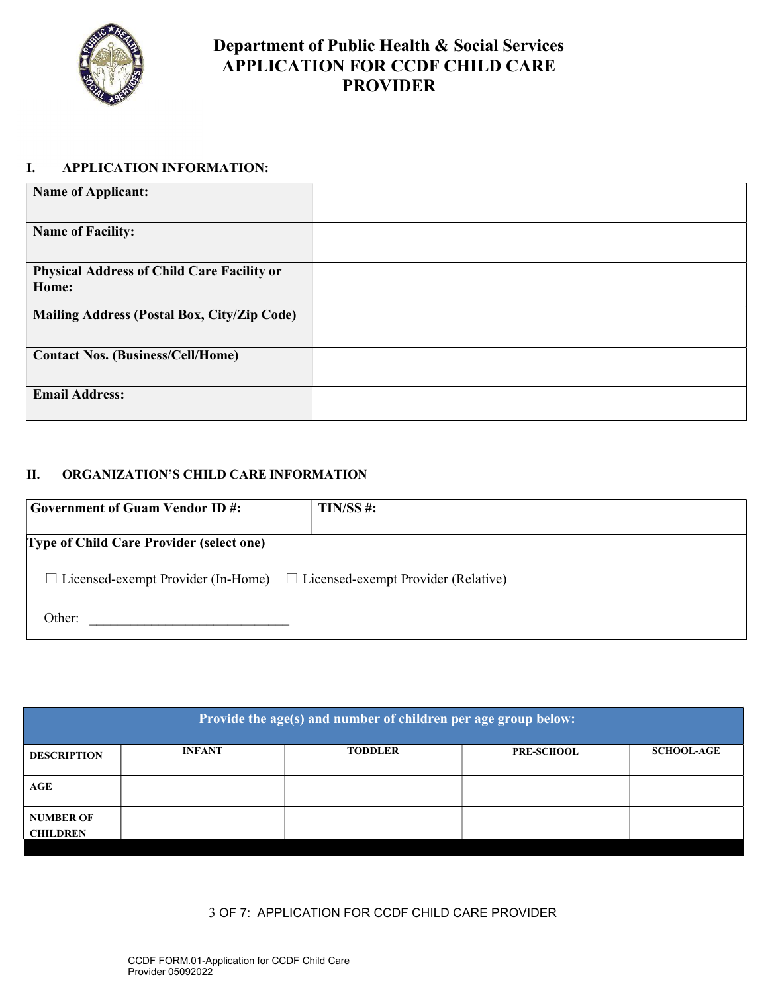

### Department of Public Health & Social Services APPLICATION FOR CCDF CHILD CARE PROVIDER

#### I. APPLICATION INFORMATION:

| <b>Name of Applicant:</b>                                  |  |
|------------------------------------------------------------|--|
| <b>Name of Facility:</b>                                   |  |
| <b>Physical Address of Child Care Facility or</b><br>Home: |  |
| Mailing Address (Postal Box, City/Zip Code)                |  |
| <b>Contact Nos. (Business/Cell/Home)</b>                   |  |
| <b>Email Address:</b>                                      |  |

#### II. ORGANIZATION'S CHILD CARE INFORMATION

| <b>Government of Guam Vendor ID#:</b>                                                | $TIN/SS$ #: |  |
|--------------------------------------------------------------------------------------|-------------|--|
| <b>Type of Child Care Provider (select one)</b>                                      |             |  |
| $\Box$ Licensed-exempt Provider (In-Home) $\Box$ Licensed-exempt Provider (Relative) |             |  |
| Other:                                                                               |             |  |

| Provide the age(s) and number of children per age group below: |               |                |                   |                   |  |  |
|----------------------------------------------------------------|---------------|----------------|-------------------|-------------------|--|--|
| <b>DESCRIPTION</b>                                             | <b>INFANT</b> | <b>TODDLER</b> | <b>PRE-SCHOOL</b> | <b>SCHOOL-AGE</b> |  |  |
| AGE                                                            |               |                |                   |                   |  |  |
| <b>NUMBER OF</b><br><b>CHILDREN</b>                            |               |                |                   |                   |  |  |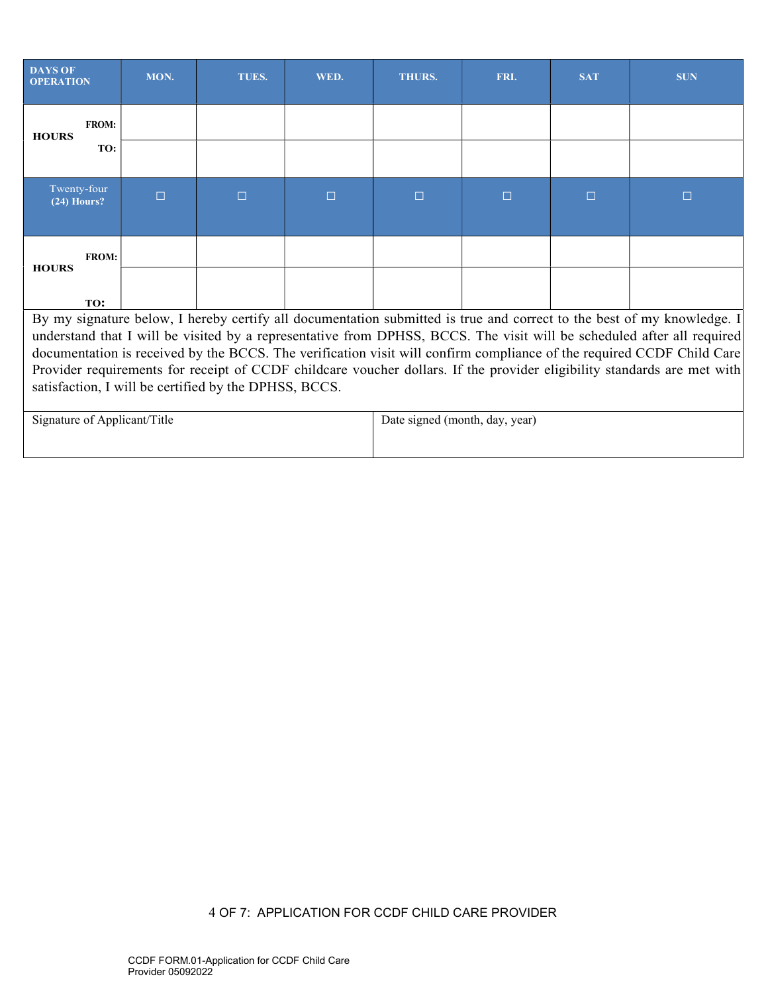| <b>DAYS OF</b><br><b>OPERATION</b>                                                                                                                                                                                                              | MON.   | TUES.  | WED.   | <b>THURS.</b> | FRI.   | <b>SAT</b> | <b>SUN</b>                                                                                                             |
|-------------------------------------------------------------------------------------------------------------------------------------------------------------------------------------------------------------------------------------------------|--------|--------|--------|---------------|--------|------------|------------------------------------------------------------------------------------------------------------------------|
| <b>FROM:</b><br><b>HOURS</b>                                                                                                                                                                                                                    |        |        |        |               |        |            |                                                                                                                        |
| TO:                                                                                                                                                                                                                                             |        |        |        |               |        |            |                                                                                                                        |
| Twenty-four<br>$(24)$ Hours?                                                                                                                                                                                                                    | $\Box$ | $\Box$ | $\Box$ | $\Box$        | $\Box$ | $\Box$     | $\Box$                                                                                                                 |
| <b>FROM:</b><br><b>HOURS</b>                                                                                                                                                                                                                    |        |        |        |               |        |            |                                                                                                                        |
| TO:                                                                                                                                                                                                                                             |        |        |        |               |        |            |                                                                                                                        |
|                                                                                                                                                                                                                                                 |        |        |        |               |        |            | By my signature below, I hereby certify all documentation submitted is true and correct to the best of my knowledge. I |
|                                                                                                                                                                                                                                                 |        |        |        |               |        |            |                                                                                                                        |
| understand that I will be visited by a representative from DPHSS, BCCS. The visit will be scheduled after all required<br>documentation is received by the BCCS. The verification visit will confirm compliance of the required CCDF Child Care |        |        |        |               |        |            |                                                                                                                        |
| Provider requirements for receipt of CCDF childcare voucher dollars. If the provider eligibility standards are met with                                                                                                                         |        |        |        |               |        |            |                                                                                                                        |
| satisfaction, I will be certified by the DPHSS, BCCS.                                                                                                                                                                                           |        |        |        |               |        |            |                                                                                                                        |
| Signature of Applicant/Title<br>Date signed (month, day, year)                                                                                                                                                                                  |        |        |        |               |        |            |                                                                                                                        |
|                                                                                                                                                                                                                                                 |        |        |        |               |        |            |                                                                                                                        |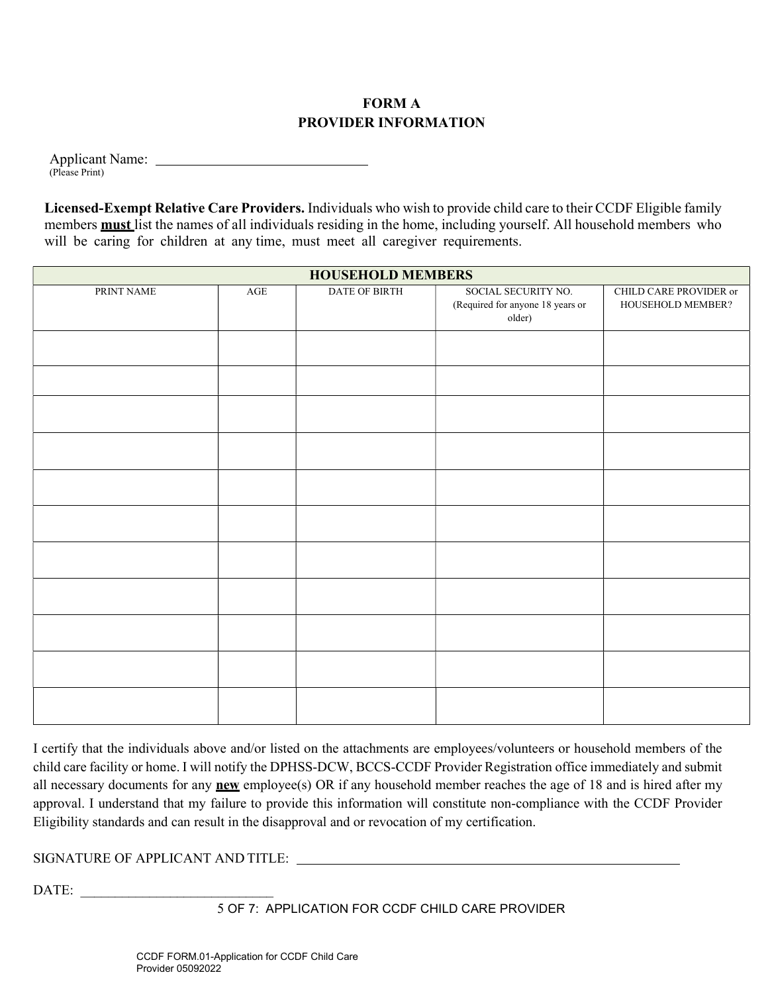### FORM A PROVIDER INFORMATION

Applicant Name: (Please Print)

Licensed-Exempt Relative Care Providers. Individuals who wish to provide child care to their CCDF Eligible family members **must** list the names of all individuals residing in the home, including yourself. All household members who will be caring for children at any time, must meet all caregiver requirements.

| <b>HOUSEHOLD MEMBERS</b> |            |               |                                                                   |                                             |  |  |  |
|--------------------------|------------|---------------|-------------------------------------------------------------------|---------------------------------------------|--|--|--|
| PRINT NAME               | $\rm{AGE}$ | DATE OF BIRTH | SOCIAL SECURITY NO.<br>(Required for anyone 18 years or<br>older) | CHILD CARE PROVIDER or<br>HOUSEHOLD MEMBER? |  |  |  |
|                          |            |               |                                                                   |                                             |  |  |  |
|                          |            |               |                                                                   |                                             |  |  |  |
|                          |            |               |                                                                   |                                             |  |  |  |
|                          |            |               |                                                                   |                                             |  |  |  |
|                          |            |               |                                                                   |                                             |  |  |  |
|                          |            |               |                                                                   |                                             |  |  |  |
|                          |            |               |                                                                   |                                             |  |  |  |
|                          |            |               |                                                                   |                                             |  |  |  |
|                          |            |               |                                                                   |                                             |  |  |  |
|                          |            |               |                                                                   |                                             |  |  |  |
|                          |            |               |                                                                   |                                             |  |  |  |

I certify that the individuals above and/or listed on the attachments are employees/volunteers or household members of the child care facility or home. I will notify the DPHSS-DCW, BCCS-CCDF Provider Registration office immediately and submit all necessary documents for any new employee(s) OR if any household member reaches the age of 18 and is hired after my approval. I understand that my failure to provide this information will constitute non-compliance with the CCDF Provider Eligibility standards and can result in the disapproval and or revocation of my certification.

### SIGNATURE OF APPLICANT AND TITLE:

DATE: \_\_\_\_\_\_\_\_\_\_\_\_\_\_\_\_\_\_\_\_\_\_\_\_\_\_\_\_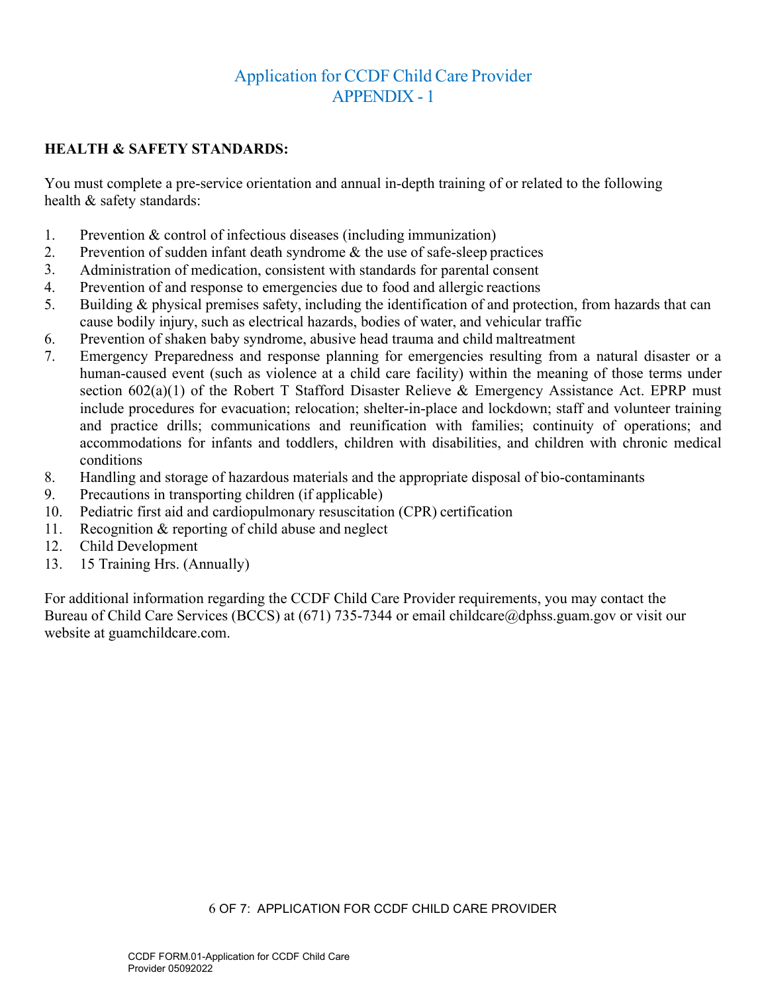# Application for CCDF Child Care Provider APPENDIX - 1

### HEALTH & SAFETY STANDARDS:

You must complete a pre-service orientation and annual in-depth training of or related to the following health & safety standards:

- 1. Prevention & control of infectious diseases (including immunization)
- 2. Prevention of sudden infant death syndrome & the use of safe-sleep practices
- 3. Administration of medication, consistent with standards for parental consent
- 4. Prevention of and response to emergencies due to food and allergic reactions
- 5. Building & physical premises safety, including the identification of and protection, from hazards that can cause bodily injury, such as electrical hazards, bodies of water, and vehicular traffic
- 6. Prevention of shaken baby syndrome, abusive head trauma and child maltreatment
- 7. Emergency Preparedness and response planning for emergencies resulting from a natural disaster or a human-caused event (such as violence at a child care facility) within the meaning of those terms under section 602(a)(1) of the Robert T Stafford Disaster Relieve & Emergency Assistance Act. EPRP must include procedures for evacuation; relocation; shelter-in-place and lockdown; staff and volunteer training and practice drills; communications and reunification with families; continuity of operations; and accommodations for infants and toddlers, children with disabilities, and children with chronic medical conditions
- 8. Handling and storage of hazardous materials and the appropriate disposal of bio-contaminants
- 9. Precautions in transporting children (if applicable)
- 10. Pediatric first aid and cardiopulmonary resuscitation (CPR) certification
- 11. Recognition & reporting of child abuse and neglect
- 12. Child Development
- 13. 15 Training Hrs. (Annually)

For additional information regarding the CCDF Child Care Provider requirements, you may contact the Bureau of Child Care Services (BCCS) at (671) 735-7344 or email childcare@dphss.guam.gov or visit our website at guamchildcare.com.